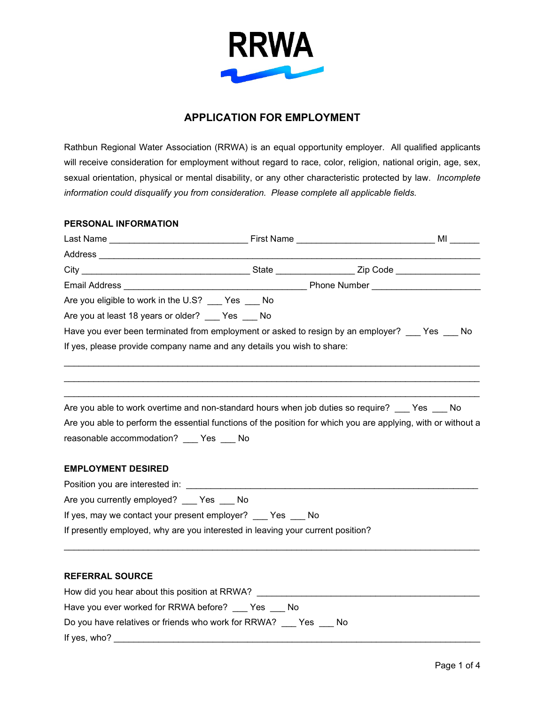

# **APPLICATION FOR EMPLOYMENT**

Rathbun Regional Water Association (RRWA) is an equal opportunity employer. All qualified applicants will receive consideration for employment without regard to race, color, religion, national origin, age, sex, sexual orientation, physical or mental disability, or any other characteristic protected by law. *Incomplete information could disqualify you from consideration. Please complete all applicable fields.*

## **PERSONAL INFORMATION**

| Are you eligible to work in the U.S? __ Yes __ No                                                             |  |  |
|---------------------------------------------------------------------------------------------------------------|--|--|
| Are you at least 18 years or older? ___ Yes ___ No                                                            |  |  |
| Have you ever been terminated from employment or asked to resign by an employer? ____ Yes ____ No             |  |  |
| If yes, please provide company name and any details you wish to share:                                        |  |  |
|                                                                                                               |  |  |
| Are you able to work overtime and non-standard hours when job duties so require? ____ Yes ____ No             |  |  |
| Are you able to perform the essential functions of the position for which you are applying, with or without a |  |  |
| reasonable accommodation? ___ Yes ___ No                                                                      |  |  |
| <b>EMPLOYMENT DESIRED</b>                                                                                     |  |  |
|                                                                                                               |  |  |
| Are you currently employed? __ Yes __ No                                                                      |  |  |
| If yes, may we contact your present employer? ____ Yes ____ No                                                |  |  |
| If presently employed, why are you interested in leaving your current position?                               |  |  |
| <b>REFERRAL SOURCE</b>                                                                                        |  |  |
| How did you hear about this position at RRWA? __________________________________                              |  |  |
| Have you ever worked for RRWA before? ___ Yes ___ No                                                          |  |  |
| Do you have relatives or friends who work for RRWA? __ Yes __ No                                              |  |  |
| If yes, who?                                                                                                  |  |  |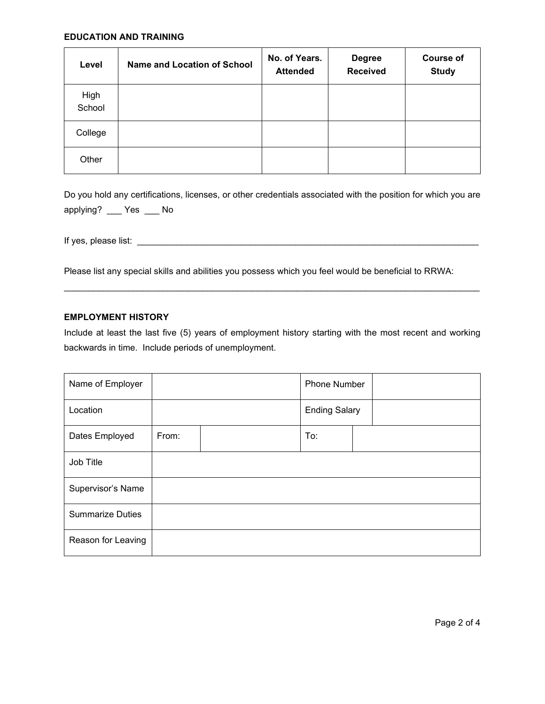## **EDUCATION AND TRAINING**

| Level          | Name and Location of School | No. of Years.<br><b>Attended</b> | <b>Degree</b><br><b>Received</b> | <b>Course of</b><br><b>Study</b> |
|----------------|-----------------------------|----------------------------------|----------------------------------|----------------------------------|
| High<br>School |                             |                                  |                                  |                                  |
| College        |                             |                                  |                                  |                                  |
| Other          |                             |                                  |                                  |                                  |

Do you hold any certifications, licenses, or other credentials associated with the position for which you are applying? \_\_\_ Yes \_\_\_ No

If yes, please list:  $\frac{1}{2}$  and  $\frac{1}{2}$  and  $\frac{1}{2}$  and  $\frac{1}{2}$  and  $\frac{1}{2}$  and  $\frac{1}{2}$  and  $\frac{1}{2}$  and  $\frac{1}{2}$  and  $\frac{1}{2}$  and  $\frac{1}{2}$  and  $\frac{1}{2}$  and  $\frac{1}{2}$  and  $\frac{1}{2}$  and  $\frac{1}{2}$  and  $\frac{$ 

Please list any special skills and abilities you possess which you feel would be beneficial to RRWA:

#### **EMPLOYMENT HISTORY**

Include at least the last five (5) years of employment history starting with the most recent and working backwards in time. Include periods of unemployment.

\_\_\_\_\_\_\_\_\_\_\_\_\_\_\_\_\_\_\_\_\_\_\_\_\_\_\_\_\_\_\_\_\_\_\_\_\_\_\_\_\_\_\_\_\_\_\_\_\_\_\_\_\_\_\_\_\_\_\_\_\_\_\_\_\_\_\_\_\_\_\_\_\_\_\_\_\_\_\_\_\_\_\_\_

| Name of Employer        |       |  | <b>Phone Number</b>  |  |  |
|-------------------------|-------|--|----------------------|--|--|
| Location                |       |  | <b>Ending Salary</b> |  |  |
| Dates Employed          | From: |  | To:                  |  |  |
| Job Title               |       |  |                      |  |  |
| Supervisor's Name       |       |  |                      |  |  |
| <b>Summarize Duties</b> |       |  |                      |  |  |
| Reason for Leaving      |       |  |                      |  |  |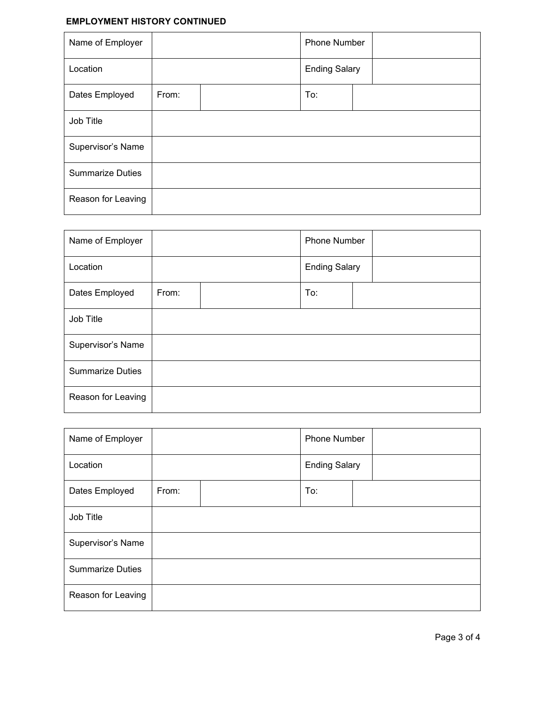# **EMPLOYMENT HISTORY CONTINUED**

| Name of Employer        |       |  | Phone Number         |  |
|-------------------------|-------|--|----------------------|--|
| Location                |       |  | <b>Ending Salary</b> |  |
| Dates Employed          | From: |  | To:                  |  |
| Job Title               |       |  |                      |  |
| Supervisor's Name       |       |  |                      |  |
| <b>Summarize Duties</b> |       |  |                      |  |
| Reason for Leaving      |       |  |                      |  |

| Name of Employer        |       |  | <b>Phone Number</b>  |  |
|-------------------------|-------|--|----------------------|--|
| Location                |       |  | <b>Ending Salary</b> |  |
| Dates Employed          | From: |  | To:                  |  |
| Job Title               |       |  |                      |  |
| Supervisor's Name       |       |  |                      |  |
| <b>Summarize Duties</b> |       |  |                      |  |
| Reason for Leaving      |       |  |                      |  |

| Name of Employer        |       |  | <b>Phone Number</b>  |  |  |
|-------------------------|-------|--|----------------------|--|--|
| Location                |       |  | <b>Ending Salary</b> |  |  |
| Dates Employed          | From: |  | To:                  |  |  |
| Job Title               |       |  |                      |  |  |
| Supervisor's Name       |       |  |                      |  |  |
| <b>Summarize Duties</b> |       |  |                      |  |  |
| Reason for Leaving      |       |  |                      |  |  |